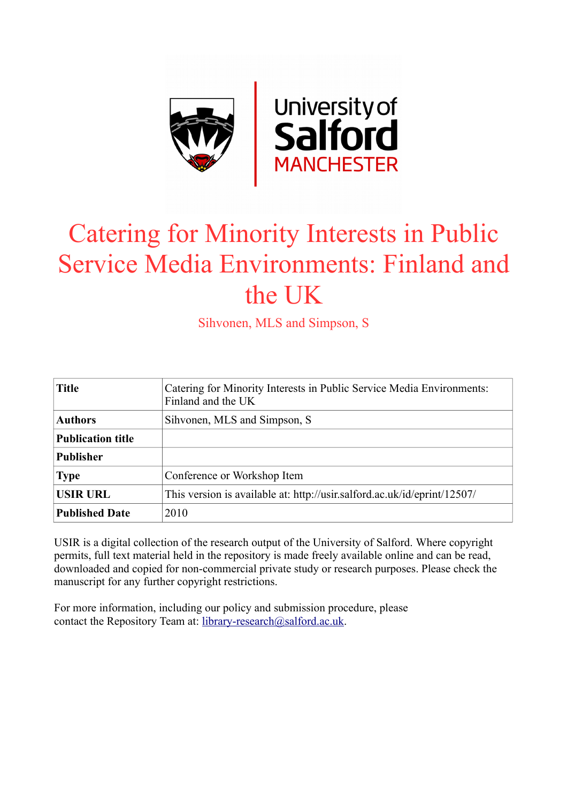

# Catering for Minority Interests in Public Service Media Environments: Finland and the UK

Sihvonen, MLS and Simpson, S

| <b>Title</b>             | Catering for Minority Interests in Public Service Media Environments:<br>Finland and the UK |
|--------------------------|---------------------------------------------------------------------------------------------|
| <b>Authors</b>           | Sihvonen, MLS and Simpson, S.                                                               |
| <b>Publication title</b> |                                                                                             |
| <b>Publisher</b>         |                                                                                             |
| <b>Type</b>              | Conference or Workshop Item                                                                 |
| <b>USIR URL</b>          | This version is available at: http://usir.salford.ac.uk/id/eprint/12507/                    |
| <b>Published Date</b>    | 2010                                                                                        |

USIR is a digital collection of the research output of the University of Salford. Where copyright permits, full text material held in the repository is made freely available online and can be read, downloaded and copied for non-commercial private study or research purposes. Please check the manuscript for any further copyright restrictions.

For more information, including our policy and submission procedure, please contact the Repository Team at: [library-research@salford.ac.uk.](mailto:library-research@salford.ac.uk)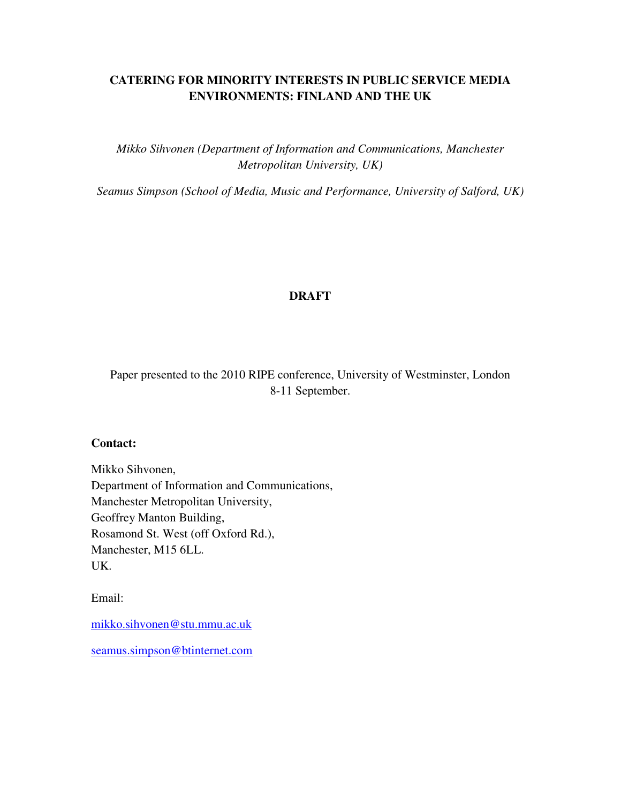## **CATERING FOR MINORITY INTERESTS IN PUBLIC SERVICE MEDIA ENVIRONMENTS: FINLAND AND THE UK**

*Mikko Sihvonen (Department of Information and Communications, Manchester Metropolitan University, UK)* 

*Seamus Simpson (School of Media, Music and Performance, University of Salford, UK)*

## **DRAFT**

Paper presented to the 2010 RIPE conference, University of Westminster, London 8-11 September.

## **Contact:**

Mikko Sihvonen, Department of Information and Communications, Manchester Metropolitan University, Geoffrey Manton Building, Rosamond St. West (off Oxford Rd.), Manchester, M15 6LL. UK.

Email:

mikko.sihvonen@stu.mmu.ac.uk

seamus.simpson@btinternet.com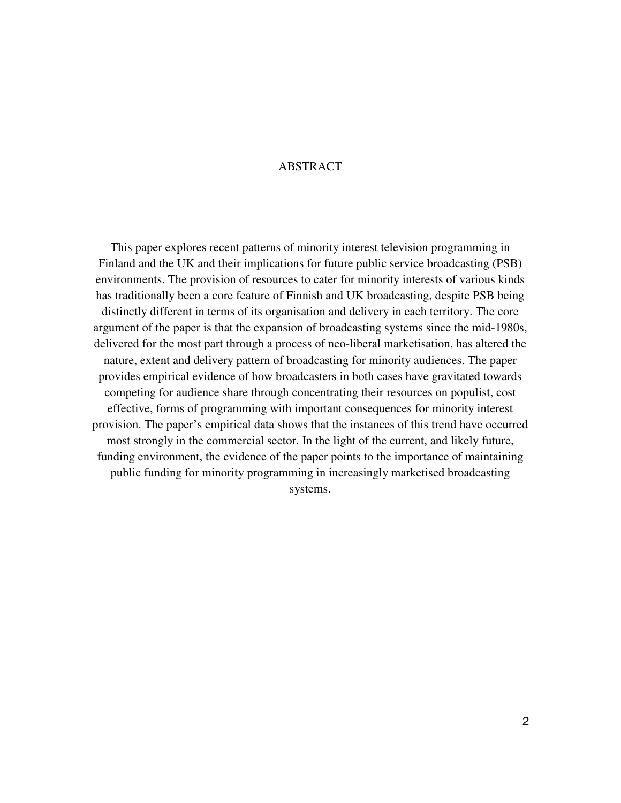## ABSTRACT

This paper explores recent patterns of minority interest television programming in Finland and the UK and their implications for future public service broadcasting (PSB) environments. The provision of resources to cater for minority interests of various kinds has traditionally been a core feature of Finnish and UK broadcasting, despite PSB being distinctly different in terms of its organisation and delivery in each territory. The core argument of the paper is that the expansion of broadcasting systems since the mid-1980s, delivered for the most part through a process of neo-liberal marketisation, has altered the nature, extent and delivery pattern of broadcasting for minority audiences. The paper provides empirical evidence of how broadcasters in both cases have gravitated towards competing for audience share through concentrating their resources on populist, cost effective, forms of programming with important consequences for minority interest provision. The paper's empirical data shows that the instances of this trend have occurred most strongly in the commercial sector. In the light of the current, and likely future, funding environment, the evidence of the paper points to the importance of maintaining public funding for minority programming in increasingly marketised broadcasting systems.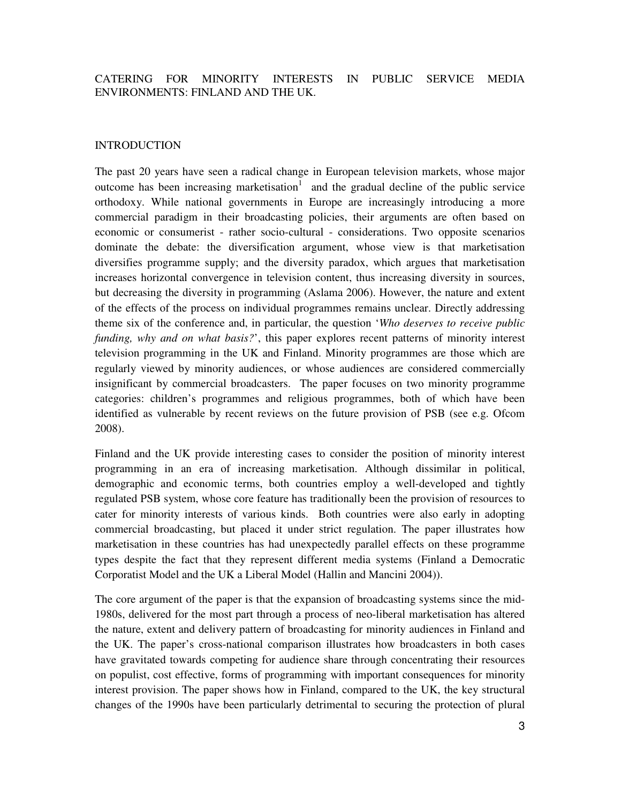## CATERING FOR MINORITY INTERESTS IN PUBLIC SERVICE MEDIA ENVIRONMENTS: FINLAND AND THE UK.

## INTRODUCTION

The past 20 years have seen a radical change in European television markets, whose major outcome has been increasing marketisation<sup>1</sup> and the gradual decline of the public service orthodoxy. While national governments in Europe are increasingly introducing a more commercial paradigm in their broadcasting policies, their arguments are often based on economic or consumerist - rather socio-cultural - considerations. Two opposite scenarios dominate the debate: the diversification argument, whose view is that marketisation diversifies programme supply; and the diversity paradox, which argues that marketisation increases horizontal convergence in television content, thus increasing diversity in sources, but decreasing the diversity in programming (Aslama 2006). However, the nature and extent of the effects of the process on individual programmes remains unclear. Directly addressing theme six of the conference and, in particular, the question '*Who deserves to receive public funding, why and on what basis?*', this paper explores recent patterns of minority interest television programming in the UK and Finland. Minority programmes are those which are regularly viewed by minority audiences, or whose audiences are considered commercially insignificant by commercial broadcasters. The paper focuses on two minority programme categories: children's programmes and religious programmes, both of which have been identified as vulnerable by recent reviews on the future provision of PSB (see e.g. Ofcom 2008).

Finland and the UK provide interesting cases to consider the position of minority interest programming in an era of increasing marketisation. Although dissimilar in political, demographic and economic terms, both countries employ a well-developed and tightly regulated PSB system, whose core feature has traditionally been the provision of resources to cater for minority interests of various kinds. Both countries were also early in adopting commercial broadcasting, but placed it under strict regulation. The paper illustrates how marketisation in these countries has had unexpectedly parallel effects on these programme types despite the fact that they represent different media systems (Finland a Democratic Corporatist Model and the UK a Liberal Model (Hallin and Mancini 2004)).

The core argument of the paper is that the expansion of broadcasting systems since the mid-1980s, delivered for the most part through a process of neo-liberal marketisation has altered the nature, extent and delivery pattern of broadcasting for minority audiences in Finland and the UK. The paper's cross-national comparison illustrates how broadcasters in both cases have gravitated towards competing for audience share through concentrating their resources on populist, cost effective, forms of programming with important consequences for minority interest provision. The paper shows how in Finland, compared to the UK, the key structural changes of the 1990s have been particularly detrimental to securing the protection of plural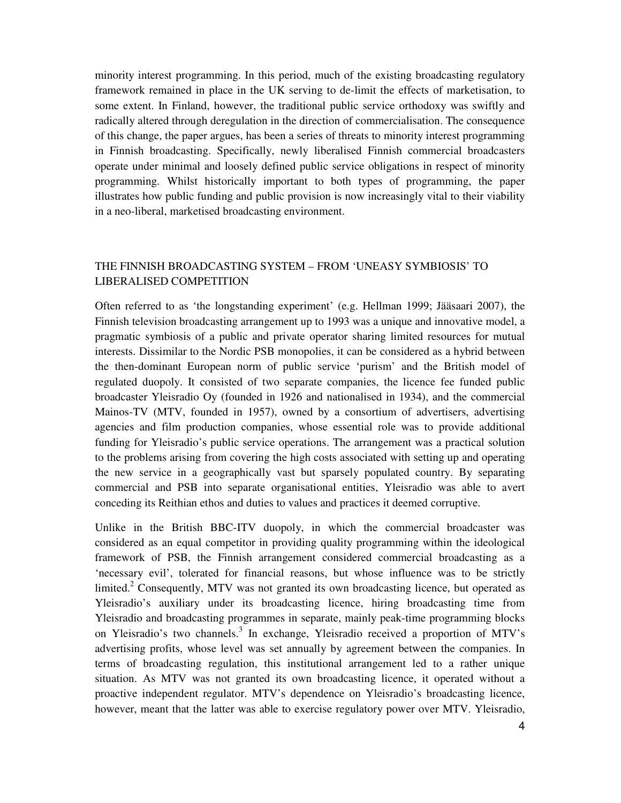minority interest programming. In this period, much of the existing broadcasting regulatory framework remained in place in the UK serving to de-limit the effects of marketisation, to some extent. In Finland, however, the traditional public service orthodoxy was swiftly and radically altered through deregulation in the direction of commercialisation. The consequence of this change, the paper argues, has been a series of threats to minority interest programming in Finnish broadcasting. Specifically, newly liberalised Finnish commercial broadcasters operate under minimal and loosely defined public service obligations in respect of minority programming. Whilst historically important to both types of programming, the paper illustrates how public funding and public provision is now increasingly vital to their viability in a neo-liberal, marketised broadcasting environment.

## THE FINNISH BROADCASTING SYSTEM – FROM 'UNEASY SYMBIOSIS' TO LIBERALISED COMPETITION

Often referred to as 'the longstanding experiment' (e.g. Hellman 1999; Jääsaari 2007), the Finnish television broadcasting arrangement up to 1993 was a unique and innovative model, a pragmatic symbiosis of a public and private operator sharing limited resources for mutual interests. Dissimilar to the Nordic PSB monopolies, it can be considered as a hybrid between the then-dominant European norm of public service 'purism' and the British model of regulated duopoly. It consisted of two separate companies, the licence fee funded public broadcaster Yleisradio Oy (founded in 1926 and nationalised in 1934), and the commercial Mainos-TV (MTV, founded in 1957), owned by a consortium of advertisers, advertising agencies and film production companies, whose essential role was to provide additional funding for Yleisradio's public service operations. The arrangement was a practical solution to the problems arising from covering the high costs associated with setting up and operating the new service in a geographically vast but sparsely populated country. By separating commercial and PSB into separate organisational entities, Yleisradio was able to avert conceding its Reithian ethos and duties to values and practices it deemed corruptive.

Unlike in the British BBC-ITV duopoly, in which the commercial broadcaster was considered as an equal competitor in providing quality programming within the ideological framework of PSB, the Finnish arrangement considered commercial broadcasting as a 'necessary evil', tolerated for financial reasons, but whose influence was to be strictly limited.<sup>2</sup> Consequently, MTV was not granted its own broadcasting licence, but operated as Yleisradio's auxiliary under its broadcasting licence, hiring broadcasting time from Yleisradio and broadcasting programmes in separate, mainly peak-time programming blocks on Yleisradio's two channels.<sup>3</sup> In exchange, Yleisradio received a proportion of MTV's advertising profits, whose level was set annually by agreement between the companies. In terms of broadcasting regulation, this institutional arrangement led to a rather unique situation. As MTV was not granted its own broadcasting licence, it operated without a proactive independent regulator. MTV's dependence on Yleisradio's broadcasting licence, however, meant that the latter was able to exercise regulatory power over MTV. Yleisradio,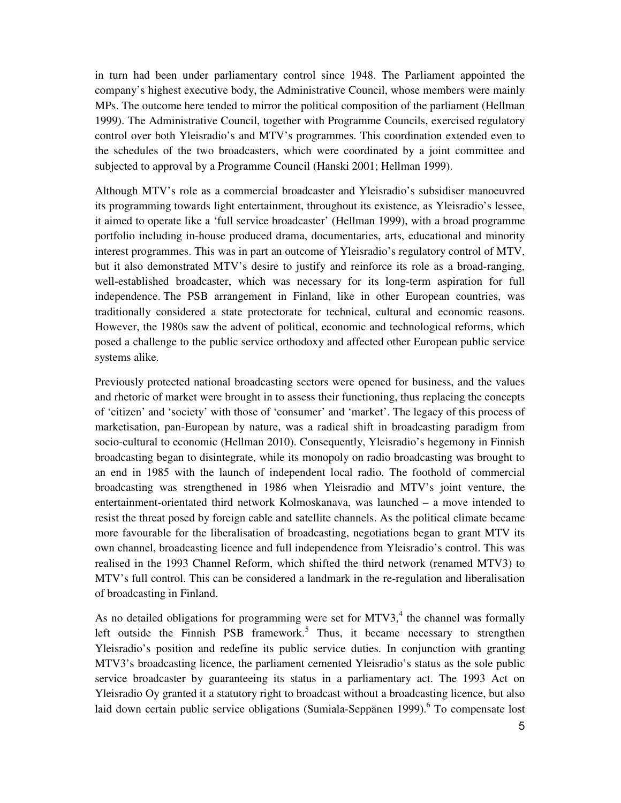in turn had been under parliamentary control since 1948. The Parliament appointed the company's highest executive body, the Administrative Council, whose members were mainly MPs. The outcome here tended to mirror the political composition of the parliament (Hellman 1999). The Administrative Council, together with Programme Councils, exercised regulatory control over both Yleisradio's and MTV's programmes. This coordination extended even to the schedules of the two broadcasters, which were coordinated by a joint committee and subjected to approval by a Programme Council (Hanski 2001; Hellman 1999).

Although MTV's role as a commercial broadcaster and Yleisradio's subsidiser manoeuvred its programming towards light entertainment, throughout its existence, as Yleisradio's lessee, it aimed to operate like a 'full service broadcaster' (Hellman 1999), with a broad programme portfolio including in-house produced drama, documentaries, arts, educational and minority interest programmes. This was in part an outcome of Yleisradio's regulatory control of MTV, but it also demonstrated MTV's desire to justify and reinforce its role as a broad-ranging, well-established broadcaster, which was necessary for its long-term aspiration for full independence. The PSB arrangement in Finland, like in other European countries, was traditionally considered a state protectorate for technical, cultural and economic reasons. However, the 1980s saw the advent of political, economic and technological reforms, which posed a challenge to the public service orthodoxy and affected other European public service systems alike.

Previously protected national broadcasting sectors were opened for business, and the values and rhetoric of market were brought in to assess their functioning, thus replacing the concepts of 'citizen' and 'society' with those of 'consumer' and 'market'. The legacy of this process of marketisation, pan-European by nature, was a radical shift in broadcasting paradigm from socio-cultural to economic (Hellman 2010). Consequently, Yleisradio's hegemony in Finnish broadcasting began to disintegrate, while its monopoly on radio broadcasting was brought to an end in 1985 with the launch of independent local radio. The foothold of commercial broadcasting was strengthened in 1986 when Yleisradio and MTV's joint venture, the entertainment-orientated third network Kolmoskanava, was launched – a move intended to resist the threat posed by foreign cable and satellite channels. As the political climate became more favourable for the liberalisation of broadcasting, negotiations began to grant MTV its own channel, broadcasting licence and full independence from Yleisradio's control. This was realised in the 1993 Channel Reform, which shifted the third network (renamed MTV3) to MTV's full control. This can be considered a landmark in the re-regulation and liberalisation of broadcasting in Finland.

As no detailed obligations for programming were set for MTV3, $4$  the channel was formally left outside the Finnish PSB framework.<sup>5</sup> Thus, it became necessary to strengthen Yleisradio's position and redefine its public service duties. In conjunction with granting MTV3's broadcasting licence, the parliament cemented Yleisradio's status as the sole public service broadcaster by guaranteeing its status in a parliamentary act. The 1993 Act on Yleisradio Oy granted it a statutory right to broadcast without a broadcasting licence, but also laid down certain public service obligations (Sumiala-Seppänen 1999).<sup>6</sup> To compensate lost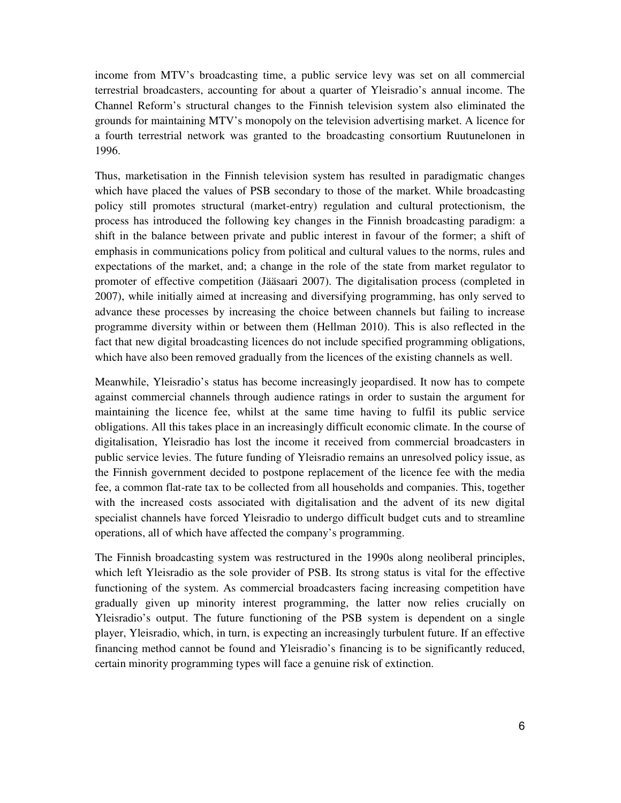income from MTV's broadcasting time, a public service levy was set on all commercial terrestrial broadcasters, accounting for about a quarter of Yleisradio's annual income. The Channel Reform's structural changes to the Finnish television system also eliminated the grounds for maintaining MTV's monopoly on the television advertising market. A licence for a fourth terrestrial network was granted to the broadcasting consortium Ruutunelonen in 1996.

Thus, marketisation in the Finnish television system has resulted in paradigmatic changes which have placed the values of PSB secondary to those of the market. While broadcasting policy still promotes structural (market-entry) regulation and cultural protectionism, the process has introduced the following key changes in the Finnish broadcasting paradigm: a shift in the balance between private and public interest in favour of the former; a shift of emphasis in communications policy from political and cultural values to the norms, rules and expectations of the market, and; a change in the role of the state from market regulator to promoter of effective competition (Jääsaari 2007). The digitalisation process (completed in 2007), while initially aimed at increasing and diversifying programming, has only served to advance these processes by increasing the choice between channels but failing to increase programme diversity within or between them (Hellman 2010). This is also reflected in the fact that new digital broadcasting licences do not include specified programming obligations, which have also been removed gradually from the licences of the existing channels as well.

Meanwhile, Yleisradio's status has become increasingly jeopardised. It now has to compete against commercial channels through audience ratings in order to sustain the argument for maintaining the licence fee, whilst at the same time having to fulfil its public service obligations. All this takes place in an increasingly difficult economic climate. In the course of digitalisation, Yleisradio has lost the income it received from commercial broadcasters in public service levies. The future funding of Yleisradio remains an unresolved policy issue, as the Finnish government decided to postpone replacement of the licence fee with the media fee, a common flat-rate tax to be collected from all households and companies. This, together with the increased costs associated with digitalisation and the advent of its new digital specialist channels have forced Yleisradio to undergo difficult budget cuts and to streamline operations, all of which have affected the company's programming.

The Finnish broadcasting system was restructured in the 1990s along neoliberal principles, which left Yleisradio as the sole provider of PSB. Its strong status is vital for the effective functioning of the system. As commercial broadcasters facing increasing competition have gradually given up minority interest programming, the latter now relies crucially on Yleisradio's output. The future functioning of the PSB system is dependent on a single player, Yleisradio, which, in turn, is expecting an increasingly turbulent future. If an effective financing method cannot be found and Yleisradio's financing is to be significantly reduced, certain minority programming types will face a genuine risk of extinction.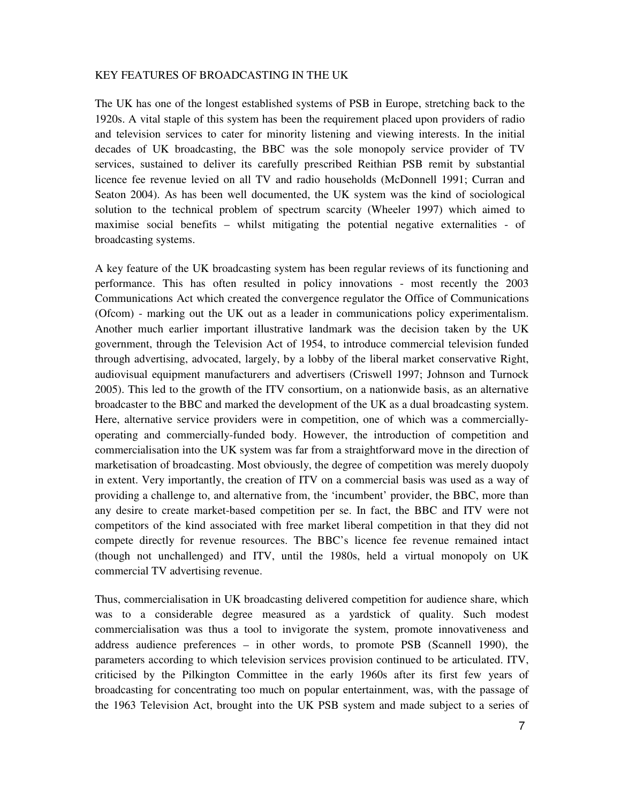#### KEY FEATURES OF BROADCASTING IN THE UK

The UK has one of the longest established systems of PSB in Europe, stretching back to the 1920s. A vital staple of this system has been the requirement placed upon providers of radio and television services to cater for minority listening and viewing interests. In the initial decades of UK broadcasting, the BBC was the sole monopoly service provider of TV services, sustained to deliver its carefully prescribed Reithian PSB remit by substantial licence fee revenue levied on all TV and radio households (McDonnell 1991; Curran and Seaton 2004). As has been well documented, the UK system was the kind of sociological solution to the technical problem of spectrum scarcity (Wheeler 1997) which aimed to maximise social benefits – whilst mitigating the potential negative externalities - of broadcasting systems.

A key feature of the UK broadcasting system has been regular reviews of its functioning and performance. This has often resulted in policy innovations - most recently the 2003 Communications Act which created the convergence regulator the Office of Communications (Ofcom) - marking out the UK out as a leader in communications policy experimentalism. Another much earlier important illustrative landmark was the decision taken by the UK government, through the Television Act of 1954, to introduce commercial television funded through advertising, advocated, largely, by a lobby of the liberal market conservative Right, audiovisual equipment manufacturers and advertisers (Criswell 1997; Johnson and Turnock 2005). This led to the growth of the ITV consortium, on a nationwide basis, as an alternative broadcaster to the BBC and marked the development of the UK as a dual broadcasting system. Here, alternative service providers were in competition, one of which was a commerciallyoperating and commercially-funded body. However, the introduction of competition and commercialisation into the UK system was far from a straightforward move in the direction of marketisation of broadcasting. Most obviously, the degree of competition was merely duopoly in extent. Very importantly, the creation of ITV on a commercial basis was used as a way of providing a challenge to, and alternative from, the 'incumbent' provider, the BBC, more than any desire to create market-based competition per se. In fact, the BBC and ITV were not competitors of the kind associated with free market liberal competition in that they did not compete directly for revenue resources. The BBC's licence fee revenue remained intact (though not unchallenged) and ITV, until the 1980s, held a virtual monopoly on UK commercial TV advertising revenue.

Thus, commercialisation in UK broadcasting delivered competition for audience share, which was to a considerable degree measured as a yardstick of quality. Such modest commercialisation was thus a tool to invigorate the system, promote innovativeness and address audience preferences – in other words, to promote PSB (Scannell 1990), the parameters according to which television services provision continued to be articulated. ITV, criticised by the Pilkington Committee in the early 1960s after its first few years of broadcasting for concentrating too much on popular entertainment, was, with the passage of the 1963 Television Act, brought into the UK PSB system and made subject to a series of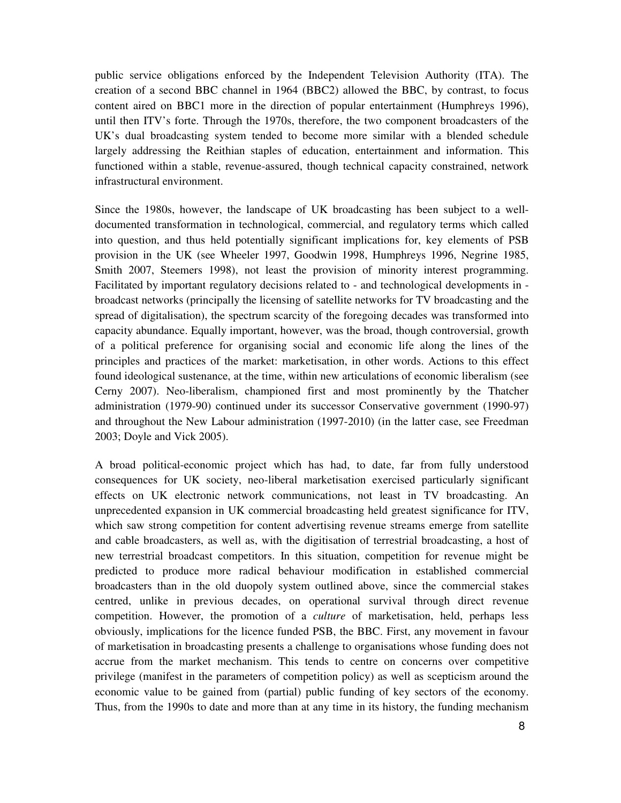public service obligations enforced by the Independent Television Authority (ITA). The creation of a second BBC channel in 1964 (BBC2) allowed the BBC, by contrast, to focus content aired on BBC1 more in the direction of popular entertainment (Humphreys 1996), until then ITV's forte. Through the 1970s, therefore, the two component broadcasters of the UK's dual broadcasting system tended to become more similar with a blended schedule largely addressing the Reithian staples of education, entertainment and information. This functioned within a stable, revenue-assured, though technical capacity constrained, network infrastructural environment.

Since the 1980s, however, the landscape of UK broadcasting has been subject to a welldocumented transformation in technological, commercial, and regulatory terms which called into question, and thus held potentially significant implications for, key elements of PSB provision in the UK (see Wheeler 1997, Goodwin 1998, Humphreys 1996, Negrine 1985, Smith 2007, Steemers 1998), not least the provision of minority interest programming. Facilitated by important regulatory decisions related to - and technological developments in broadcast networks (principally the licensing of satellite networks for TV broadcasting and the spread of digitalisation), the spectrum scarcity of the foregoing decades was transformed into capacity abundance. Equally important, however, was the broad, though controversial, growth of a political preference for organising social and economic life along the lines of the principles and practices of the market: marketisation, in other words. Actions to this effect found ideological sustenance, at the time, within new articulations of economic liberalism (see Cerny 2007). Neo-liberalism, championed first and most prominently by the Thatcher administration (1979-90) continued under its successor Conservative government (1990-97) and throughout the New Labour administration (1997-2010) (in the latter case, see Freedman 2003; Doyle and Vick 2005).

A broad political-economic project which has had, to date, far from fully understood consequences for UK society, neo-liberal marketisation exercised particularly significant effects on UK electronic network communications, not least in TV broadcasting. An unprecedented expansion in UK commercial broadcasting held greatest significance for ITV, which saw strong competition for content advertising revenue streams emerge from satellite and cable broadcasters, as well as, with the digitisation of terrestrial broadcasting, a host of new terrestrial broadcast competitors. In this situation, competition for revenue might be predicted to produce more radical behaviour modification in established commercial broadcasters than in the old duopoly system outlined above, since the commercial stakes centred, unlike in previous decades, on operational survival through direct revenue competition. However, the promotion of a *culture* of marketisation, held, perhaps less obviously, implications for the licence funded PSB, the BBC. First, any movement in favour of marketisation in broadcasting presents a challenge to organisations whose funding does not accrue from the market mechanism. This tends to centre on concerns over competitive privilege (manifest in the parameters of competition policy) as well as scepticism around the economic value to be gained from (partial) public funding of key sectors of the economy. Thus, from the 1990s to date and more than at any time in its history, the funding mechanism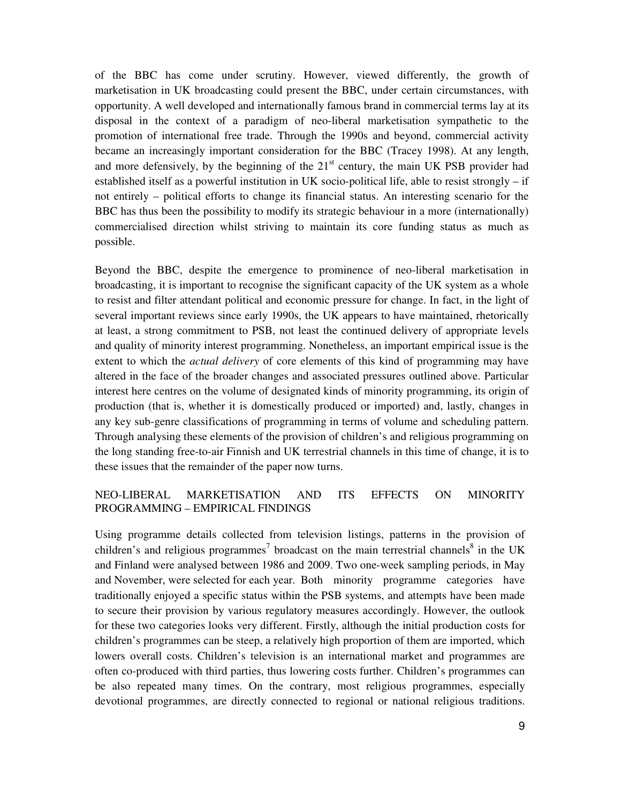of the BBC has come under scrutiny. However, viewed differently, the growth of marketisation in UK broadcasting could present the BBC, under certain circumstances, with opportunity. A well developed and internationally famous brand in commercial terms lay at its disposal in the context of a paradigm of neo-liberal marketisation sympathetic to the promotion of international free trade. Through the 1990s and beyond, commercial activity became an increasingly important consideration for the BBC (Tracey 1998). At any length, and more defensively, by the beginning of the  $21<sup>st</sup>$  century, the main UK PSB provider had established itself as a powerful institution in UK socio-political life, able to resist strongly – if not entirely – political efforts to change its financial status. An interesting scenario for the BBC has thus been the possibility to modify its strategic behaviour in a more (internationally) commercialised direction whilst striving to maintain its core funding status as much as possible.

Beyond the BBC, despite the emergence to prominence of neo-liberal marketisation in broadcasting, it is important to recognise the significant capacity of the UK system as a whole to resist and filter attendant political and economic pressure for change. In fact, in the light of several important reviews since early 1990s, the UK appears to have maintained, rhetorically at least, a strong commitment to PSB, not least the continued delivery of appropriate levels and quality of minority interest programming. Nonetheless, an important empirical issue is the extent to which the *actual delivery* of core elements of this kind of programming may have altered in the face of the broader changes and associated pressures outlined above. Particular interest here centres on the volume of designated kinds of minority programming, its origin of production (that is, whether it is domestically produced or imported) and, lastly, changes in any key sub-genre classifications of programming in terms of volume and scheduling pattern. Through analysing these elements of the provision of children's and religious programming on the long standing free-to-air Finnish and UK terrestrial channels in this time of change, it is to these issues that the remainder of the paper now turns.

## NEO-LIBERAL MARKETISATION AND ITS EFFECTS ON MINORITY PROGRAMMING – EMPIRICAL FINDINGS

Using programme details collected from television listings, patterns in the provision of children's and religious programmes<sup>7</sup> broadcast on the main terrestrial channels<sup>8</sup> in the UK and Finland were analysed between 1986 and 2009. Two one-week sampling periods, in May and November, were selected for each year. Both minority programme categories have traditionally enjoyed a specific status within the PSB systems, and attempts have been made to secure their provision by various regulatory measures accordingly. However, the outlook for these two categories looks very different. Firstly, although the initial production costs for children's programmes can be steep, a relatively high proportion of them are imported, which lowers overall costs. Children's television is an international market and programmes are often co-produced with third parties, thus lowering costs further. Children's programmes can be also repeated many times. On the contrary, most religious programmes, especially devotional programmes, are directly connected to regional or national religious traditions.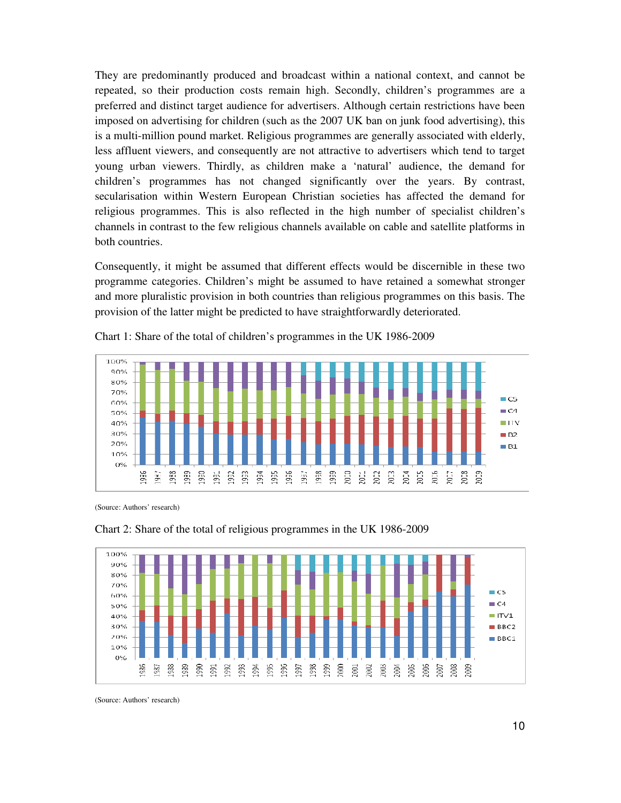They are predominantly produced and broadcast within a national context, and cannot be repeated, so their production costs remain high. Secondly, children's programmes are a preferred and distinct target audience for advertisers. Although certain restrictions have been imposed on advertising for children (such as the 2007 UK ban on junk food advertising), this is a multi-million pound market. Religious programmes are generally associated with elderly, less affluent viewers, and consequently are not attractive to advertisers which tend to target young urban viewers. Thirdly, as children make a 'natural' audience, the demand for children's programmes has not changed significantly over the years. By contrast, secularisation within Western European Christian societies has affected the demand for religious programmes. This is also reflected in the high number of specialist children's channels in contrast to the few religious channels available on cable and satellite platforms in both countries.

Consequently, it might be assumed that different effects would be discernible in these two programme categories. Children's might be assumed to have retained a somewhat stronger and more pluralistic provision in both countries than religious programmes on this basis. The provision of the latter might be predicted to have straightforwardly deteriorated.



Chart 1: Share of the total of children's programmes in the UK 1986-2009

(Source: Authors' research)



Chart 2: Share of the total of religious programmes in the UK 1986-2009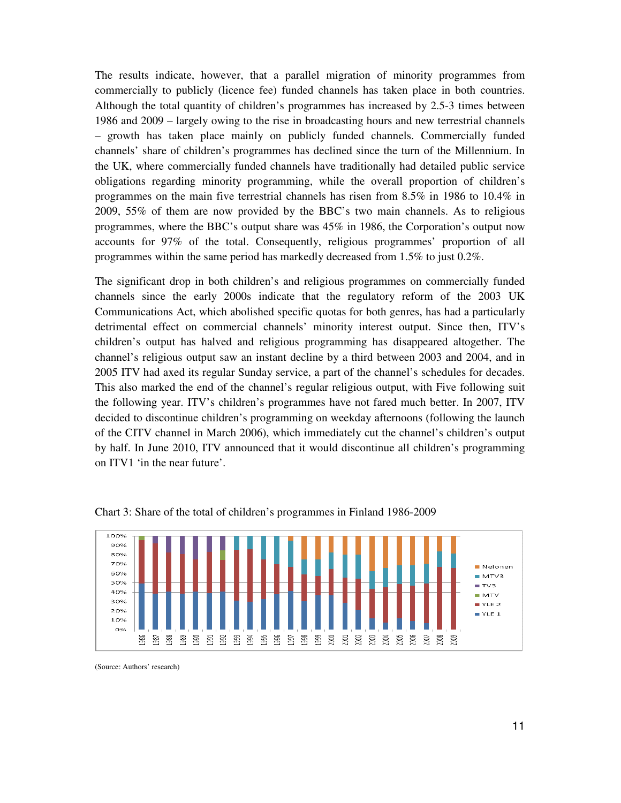The results indicate, however, that a parallel migration of minority programmes from commercially to publicly (licence fee) funded channels has taken place in both countries. Although the total quantity of children's programmes has increased by 2.5-3 times between 1986 and 2009 – largely owing to the rise in broadcasting hours and new terrestrial channels – growth has taken place mainly on publicly funded channels. Commercially funded channels' share of children's programmes has declined since the turn of the Millennium. In the UK, where commercially funded channels have traditionally had detailed public service obligations regarding minority programming, while the overall proportion of children's programmes on the main five terrestrial channels has risen from 8.5% in 1986 to 10.4% in 2009, 55% of them are now provided by the BBC's two main channels. As to religious programmes, where the BBC's output share was 45% in 1986, the Corporation's output now accounts for 97% of the total. Consequently, religious programmes' proportion of all programmes within the same period has markedly decreased from 1.5% to just 0.2%.

The significant drop in both children's and religious programmes on commercially funded channels since the early 2000s indicate that the regulatory reform of the 2003 UK Communications Act, which abolished specific quotas for both genres, has had a particularly detrimental effect on commercial channels' minority interest output. Since then, ITV's children's output has halved and religious programming has disappeared altogether. The channel's religious output saw an instant decline by a third between 2003 and 2004, and in 2005 ITV had axed its regular Sunday service, a part of the channel's schedules for decades. This also marked the end of the channel's regular religious output, with Five following suit the following year. ITV's children's programmes have not fared much better. In 2007, ITV decided to discontinue children's programming on weekday afternoons (following the launch of the CITV channel in March 2006), which immediately cut the channel's children's output by half. In June 2010, ITV announced that it would discontinue all children's programming on ITV1 'in the near future'.



Chart 3: Share of the total of children's programmes in Finland 1986-2009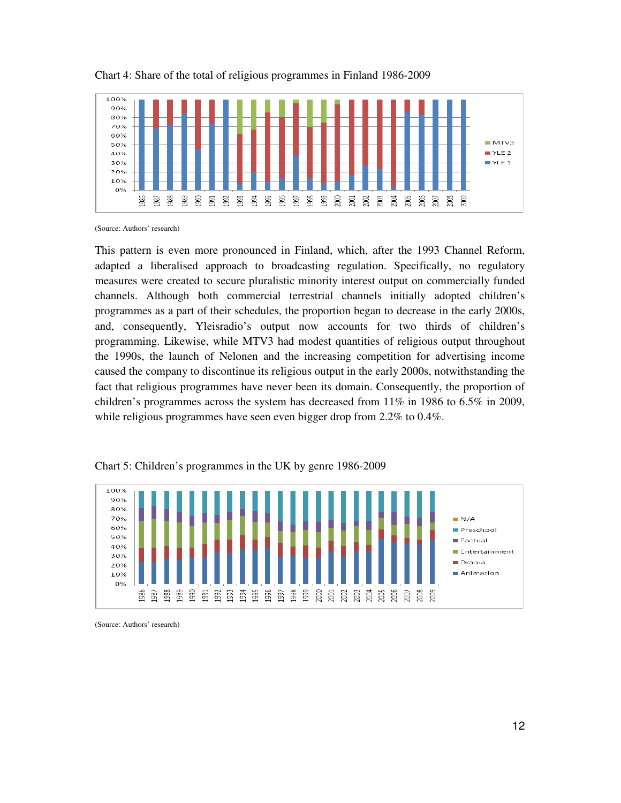

#### Chart 4: Share of the total of religious programmes in Finland 1986-2009

(Source: Authors' research)

This pattern is even more pronounced in Finland, which, after the 1993 Channel Reform, adapted a liberalised approach to broadcasting regulation. Specifically, no regulatory measures were created to secure pluralistic minority interest output on commercially funded channels. Although both commercial terrestrial channels initially adopted children's programmes as a part of their schedules, the proportion began to decrease in the early 2000s, and, consequently, Yleisradio's output now accounts for two thirds of children's programming. Likewise, while MTV3 had modest quantities of religious output throughout the 1990s, the launch of Nelonen and the increasing competition for advertising income caused the company to discontinue its religious output in the early 2000s, notwithstanding the fact that religious programmes have never been its domain. Consequently, the proportion of children's programmes across the system has decreased from 11% in 1986 to 6.5% in 2009, while religious programmes have seen even bigger drop from 2.2% to 0.4%.



Chart 5: Children's programmes in the UK by genre 1986-2009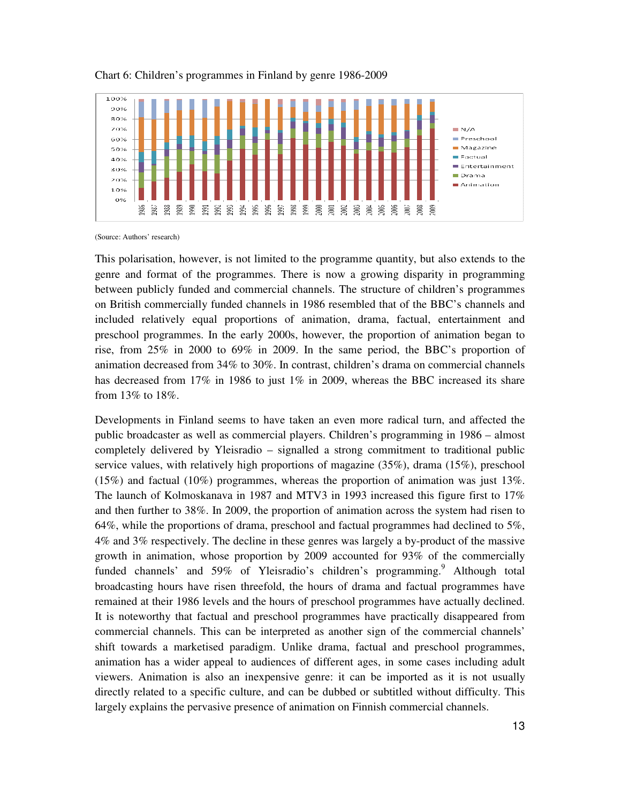

#### Chart 6: Children's programmes in Finland by genre 1986-2009

(Source: Authors' research)

This polarisation, however, is not limited to the programme quantity, but also extends to the genre and format of the programmes. There is now a growing disparity in programming between publicly funded and commercial channels. The structure of children's programmes on British commercially funded channels in 1986 resembled that of the BBC's channels and included relatively equal proportions of animation, drama, factual, entertainment and preschool programmes. In the early 2000s, however, the proportion of animation began to rise, from 25% in 2000 to 69% in 2009. In the same period, the BBC's proportion of animation decreased from 34% to 30%. In contrast, children's drama on commercial channels has decreased from 17% in 1986 to just 1% in 2009, whereas the BBC increased its share from 13% to 18%.

Developments in Finland seems to have taken an even more radical turn, and affected the public broadcaster as well as commercial players. Children's programming in 1986 – almost completely delivered by Yleisradio – signalled a strong commitment to traditional public service values, with relatively high proportions of magazine (35%), drama (15%), preschool (15%) and factual (10%) programmes, whereas the proportion of animation was just 13%. The launch of Kolmoskanava in 1987 and MTV3 in 1993 increased this figure first to 17% and then further to 38%. In 2009, the proportion of animation across the system had risen to 64%, while the proportions of drama, preschool and factual programmes had declined to 5%, 4% and 3% respectively. The decline in these genres was largely a by-product of the massive growth in animation, whose proportion by 2009 accounted for 93% of the commercially funded channels' and 59% of Yleisradio's children's programming.<sup>9</sup> Although total broadcasting hours have risen threefold, the hours of drama and factual programmes have remained at their 1986 levels and the hours of preschool programmes have actually declined. It is noteworthy that factual and preschool programmes have practically disappeared from commercial channels. This can be interpreted as another sign of the commercial channels' shift towards a marketised paradigm. Unlike drama, factual and preschool programmes, animation has a wider appeal to audiences of different ages, in some cases including adult viewers. Animation is also an inexpensive genre: it can be imported as it is not usually directly related to a specific culture, and can be dubbed or subtitled without difficulty. This largely explains the pervasive presence of animation on Finnish commercial channels.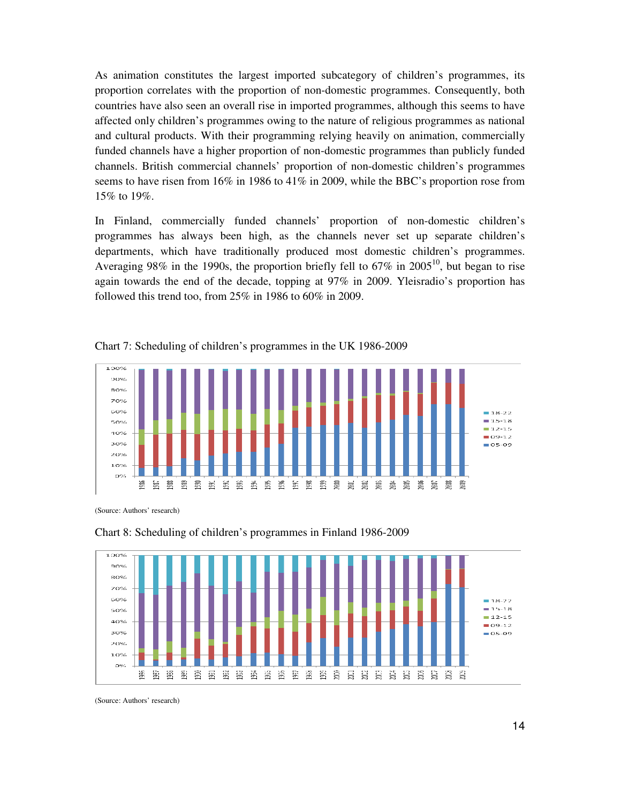As animation constitutes the largest imported subcategory of children's programmes, its proportion correlates with the proportion of non-domestic programmes. Consequently, both countries have also seen an overall rise in imported programmes, although this seems to have affected only children's programmes owing to the nature of religious programmes as national and cultural products. With their programming relying heavily on animation, commercially funded channels have a higher proportion of non-domestic programmes than publicly funded channels. British commercial channels' proportion of non-domestic children's programmes seems to have risen from 16% in 1986 to 41% in 2009, while the BBC's proportion rose from 15% to 19%.

In Finland, commercially funded channels' proportion of non-domestic children's programmes has always been high, as the channels never set up separate children's departments, which have traditionally produced most domestic children's programmes. Averaging 98% in the 1990s, the proportion briefly fell to  $67\%$  in  $2005^{10}$ , but began to rise again towards the end of the decade, topping at 97% in 2009. Yleisradio's proportion has followed this trend too, from 25% in 1986 to 60% in 2009.



Chart 7: Scheduling of children's programmes in the UK 1986-2009

(Source: Authors' research)



Chart 8: Scheduling of children's programmes in Finland 1986-2009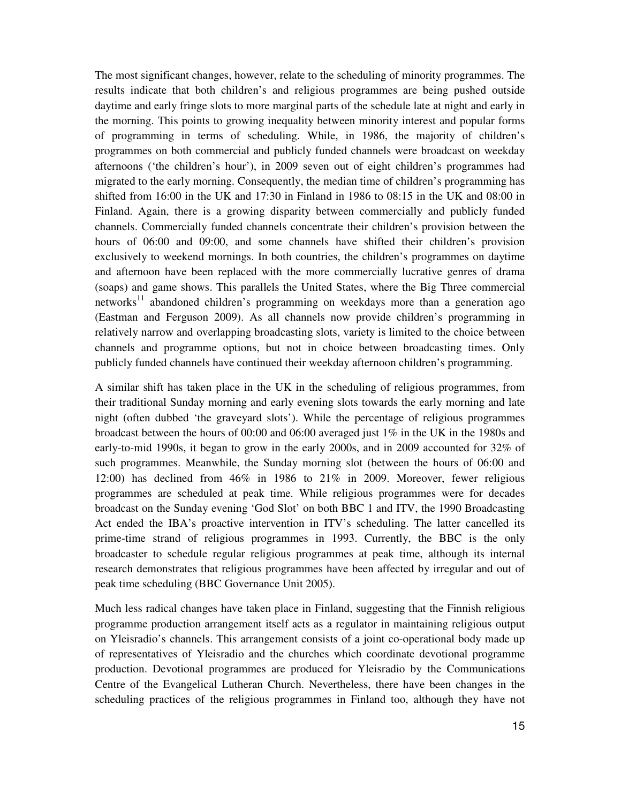The most significant changes, however, relate to the scheduling of minority programmes. The results indicate that both children's and religious programmes are being pushed outside daytime and early fringe slots to more marginal parts of the schedule late at night and early in the morning. This points to growing inequality between minority interest and popular forms of programming in terms of scheduling. While, in 1986, the majority of children's programmes on both commercial and publicly funded channels were broadcast on weekday afternoons ('the children's hour'), in 2009 seven out of eight children's programmes had migrated to the early morning. Consequently, the median time of children's programming has shifted from 16:00 in the UK and 17:30 in Finland in 1986 to 08:15 in the UK and 08:00 in Finland. Again, there is a growing disparity between commercially and publicly funded channels. Commercially funded channels concentrate their children's provision between the hours of 06:00 and 09:00, and some channels have shifted their children's provision exclusively to weekend mornings. In both countries, the children's programmes on daytime and afternoon have been replaced with the more commercially lucrative genres of drama (soaps) and game shows. This parallels the United States, where the Big Three commercial networks<sup>11</sup> abandoned children's programming on weekdays more than a generation ago (Eastman and Ferguson 2009). As all channels now provide children's programming in relatively narrow and overlapping broadcasting slots, variety is limited to the choice between channels and programme options, but not in choice between broadcasting times. Only publicly funded channels have continued their weekday afternoon children's programming.

A similar shift has taken place in the UK in the scheduling of religious programmes, from their traditional Sunday morning and early evening slots towards the early morning and late night (often dubbed 'the graveyard slots'). While the percentage of religious programmes broadcast between the hours of 00:00 and 06:00 averaged just 1% in the UK in the 1980s and early-to-mid 1990s, it began to grow in the early 2000s, and in 2009 accounted for 32% of such programmes. Meanwhile, the Sunday morning slot (between the hours of 06:00 and 12:00) has declined from 46% in 1986 to 21% in 2009. Moreover, fewer religious programmes are scheduled at peak time. While religious programmes were for decades broadcast on the Sunday evening 'God Slot' on both BBC 1 and ITV, the 1990 Broadcasting Act ended the IBA's proactive intervention in ITV's scheduling. The latter cancelled its prime-time strand of religious programmes in 1993. Currently, the BBC is the only broadcaster to schedule regular religious programmes at peak time, although its internal research demonstrates that religious programmes have been affected by irregular and out of peak time scheduling (BBC Governance Unit 2005).

Much less radical changes have taken place in Finland, suggesting that the Finnish religious programme production arrangement itself acts as a regulator in maintaining religious output on Yleisradio's channels. This arrangement consists of a joint co-operational body made up of representatives of Yleisradio and the churches which coordinate devotional programme production. Devotional programmes are produced for Yleisradio by the Communications Centre of the Evangelical Lutheran Church. Nevertheless, there have been changes in the scheduling practices of the religious programmes in Finland too, although they have not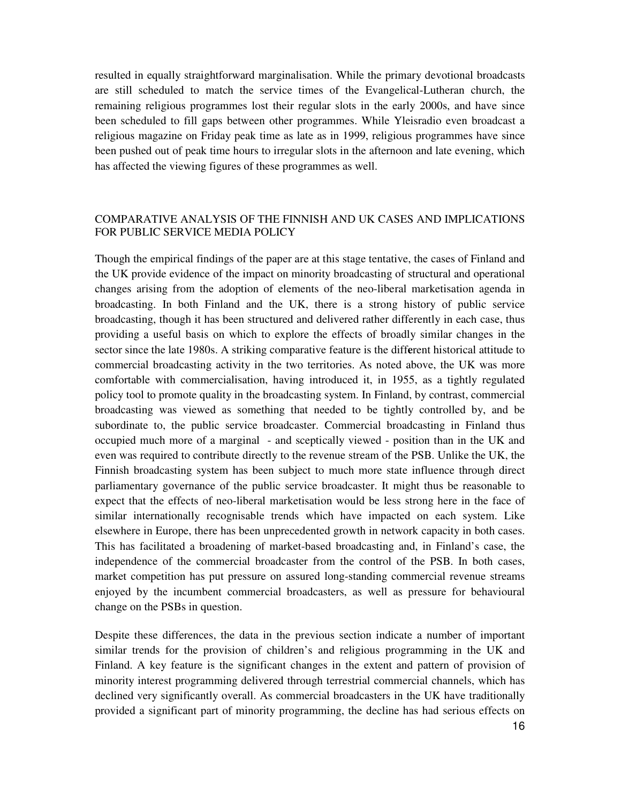resulted in equally straightforward marginalisation. While the primary devotional broadcasts are still scheduled to match the service times of the Evangelical-Lutheran church, the remaining religious programmes lost their regular slots in the early 2000s, and have since been scheduled to fill gaps between other programmes. While Yleisradio even broadcast a religious magazine on Friday peak time as late as in 1999, religious programmes have since been pushed out of peak time hours to irregular slots in the afternoon and late evening, which has affected the viewing figures of these programmes as well.

## COMPARATIVE ANALYSIS OF THE FINNISH AND UK CASES AND IMPLICATIONS FOR PUBLIC SERVICE MEDIA POLICY

Though the empirical findings of the paper are at this stage tentative, the cases of Finland and the UK provide evidence of the impact on minority broadcasting of structural and operational changes arising from the adoption of elements of the neo-liberal marketisation agenda in broadcasting. In both Finland and the UK, there is a strong history of public service broadcasting, though it has been structured and delivered rather differently in each case, thus providing a useful basis on which to explore the effects of broadly similar changes in the sector since the late 1980s. A striking comparative feature is the diff**e**rent historical attitude to commercial broadcasting activity in the two territories. As noted above, the UK was more comfortable with commercialisation, having introduced it, in 1955, as a tightly regulated policy tool to promote quality in the broadcasting system. In Finland, by contrast, commercial broadcasting was viewed as something that needed to be tightly controlled by, and be subordinate to, the public service broadcaster. Commercial broadcasting in Finland thus occupied much more of a marginal - and sceptically viewed - position than in the UK and even was required to contribute directly to the revenue stream of the PSB. Unlike the UK, the Finnish broadcasting system has been subject to much more state influence through direct parliamentary governance of the public service broadcaster. It might thus be reasonable to expect that the effects of neo-liberal marketisation would be less strong here in the face of similar internationally recognisable trends which have impacted on each system. Like elsewhere in Europe, there has been unprecedented growth in network capacity in both cases. This has facilitated a broadening of market-based broadcasting and, in Finland's case, the independence of the commercial broadcaster from the control of the PSB. In both cases, market competition has put pressure on assured long-standing commercial revenue streams enjoyed by the incumbent commercial broadcasters, as well as pressure for behavioural change on the PSBs in question.

Despite these differences, the data in the previous section indicate a number of important similar trends for the provision of children's and religious programming in the UK and Finland. A key feature is the significant changes in the extent and pattern of provision of minority interest programming delivered through terrestrial commercial channels, which has declined very significantly overall. As commercial broadcasters in the UK have traditionally provided a significant part of minority programming, the decline has had serious effects on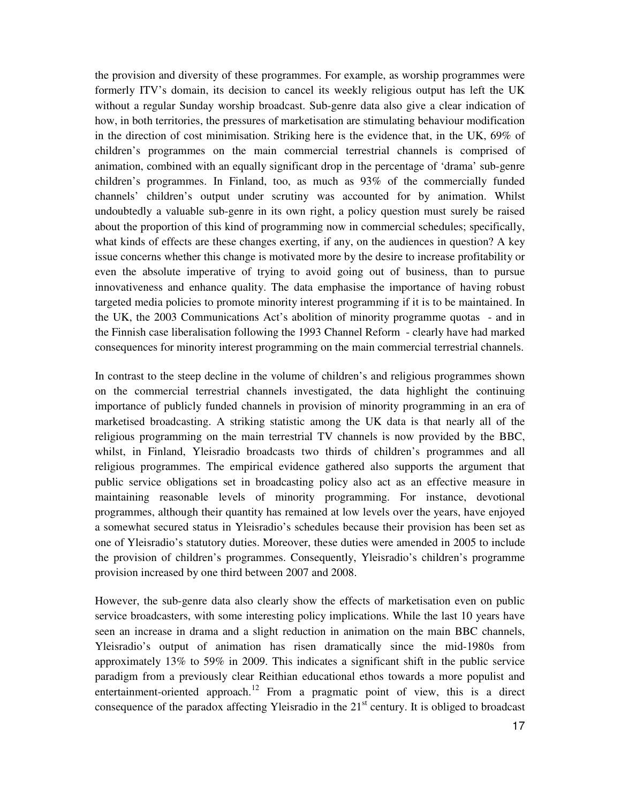the provision and diversity of these programmes. For example, as worship programmes were formerly ITV's domain, its decision to cancel its weekly religious output has left the UK without a regular Sunday worship broadcast. Sub-genre data also give a clear indication of how, in both territories, the pressures of marketisation are stimulating behaviour modification in the direction of cost minimisation. Striking here is the evidence that, in the UK, 69% of children's programmes on the main commercial terrestrial channels is comprised of animation, combined with an equally significant drop in the percentage of 'drama' sub-genre children's programmes. In Finland, too, as much as 93% of the commercially funded channels' children's output under scrutiny was accounted for by animation. Whilst undoubtedly a valuable sub-genre in its own right, a policy question must surely be raised about the proportion of this kind of programming now in commercial schedules; specifically, what kinds of effects are these changes exerting, if any, on the audiences in question? A key issue concerns whether this change is motivated more by the desire to increase profitability or even the absolute imperative of trying to avoid going out of business, than to pursue innovativeness and enhance quality. The data emphasise the importance of having robust targeted media policies to promote minority interest programming if it is to be maintained. In the UK, the 2003 Communications Act's abolition of minority programme quotas - and in the Finnish case liberalisation following the 1993 Channel Reform - clearly have had marked consequences for minority interest programming on the main commercial terrestrial channels.

In contrast to the steep decline in the volume of children's and religious programmes shown on the commercial terrestrial channels investigated, the data highlight the continuing importance of publicly funded channels in provision of minority programming in an era of marketised broadcasting. A striking statistic among the UK data is that nearly all of the religious programming on the main terrestrial TV channels is now provided by the BBC, whilst, in Finland, Yleisradio broadcasts two thirds of children's programmes and all religious programmes. The empirical evidence gathered also supports the argument that public service obligations set in broadcasting policy also act as an effective measure in maintaining reasonable levels of minority programming. For instance, devotional programmes, although their quantity has remained at low levels over the years, have enjoyed a somewhat secured status in Yleisradio's schedules because their provision has been set as one of Yleisradio's statutory duties. Moreover, these duties were amended in 2005 to include the provision of children's programmes. Consequently, Yleisradio's children's programme provision increased by one third between 2007 and 2008.

However, the sub-genre data also clearly show the effects of marketisation even on public service broadcasters, with some interesting policy implications. While the last 10 years have seen an increase in drama and a slight reduction in animation on the main BBC channels, Yleisradio's output of animation has risen dramatically since the mid-1980s from approximately 13% to 59% in 2009. This indicates a significant shift in the public service paradigm from a previously clear Reithian educational ethos towards a more populist and entertainment-oriented approach.<sup>12</sup> From a pragmatic point of view, this is a direct consequence of the paradox affecting Yleisradio in the  $21<sup>st</sup>$  century. It is obliged to broadcast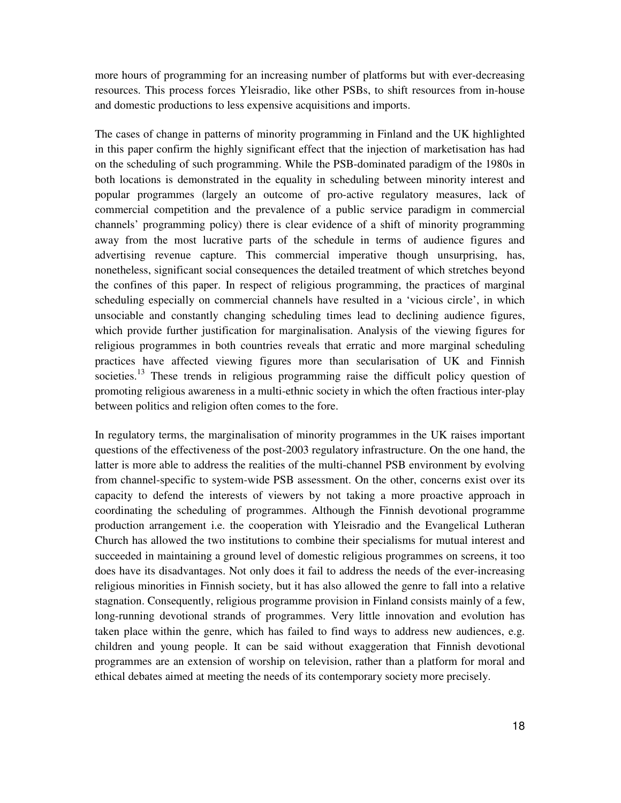more hours of programming for an increasing number of platforms but with ever-decreasing resources. This process forces Yleisradio, like other PSBs, to shift resources from in-house and domestic productions to less expensive acquisitions and imports.

The cases of change in patterns of minority programming in Finland and the UK highlighted in this paper confirm the highly significant effect that the injection of marketisation has had on the scheduling of such programming. While the PSB-dominated paradigm of the 1980s in both locations is demonstrated in the equality in scheduling between minority interest and popular programmes (largely an outcome of pro-active regulatory measures, lack of commercial competition and the prevalence of a public service paradigm in commercial channels' programming policy) there is clear evidence of a shift of minority programming away from the most lucrative parts of the schedule in terms of audience figures and advertising revenue capture. This commercial imperative though unsurprising, has, nonetheless, significant social consequences the detailed treatment of which stretches beyond the confines of this paper. In respect of religious programming, the practices of marginal scheduling especially on commercial channels have resulted in a 'vicious circle', in which unsociable and constantly changing scheduling times lead to declining audience figures, which provide further justification for marginalisation. Analysis of the viewing figures for religious programmes in both countries reveals that erratic and more marginal scheduling practices have affected viewing figures more than secularisation of UK and Finnish societies.<sup>13</sup> These trends in religious programming raise the difficult policy question of promoting religious awareness in a multi-ethnic society in which the often fractious inter-play between politics and religion often comes to the fore.

In regulatory terms, the marginalisation of minority programmes in the UK raises important questions of the effectiveness of the post-2003 regulatory infrastructure. On the one hand, the latter is more able to address the realities of the multi-channel PSB environment by evolving from channel-specific to system-wide PSB assessment. On the other, concerns exist over its capacity to defend the interests of viewers by not taking a more proactive approach in coordinating the scheduling of programmes. Although the Finnish devotional programme production arrangement i.e. the cooperation with Yleisradio and the Evangelical Lutheran Church has allowed the two institutions to combine their specialisms for mutual interest and succeeded in maintaining a ground level of domestic religious programmes on screens, it too does have its disadvantages. Not only does it fail to address the needs of the ever-increasing religious minorities in Finnish society, but it has also allowed the genre to fall into a relative stagnation. Consequently, religious programme provision in Finland consists mainly of a few, long-running devotional strands of programmes. Very little innovation and evolution has taken place within the genre, which has failed to find ways to address new audiences, e.g. children and young people. It can be said without exaggeration that Finnish devotional programmes are an extension of worship on television, rather than a platform for moral and ethical debates aimed at meeting the needs of its contemporary society more precisely.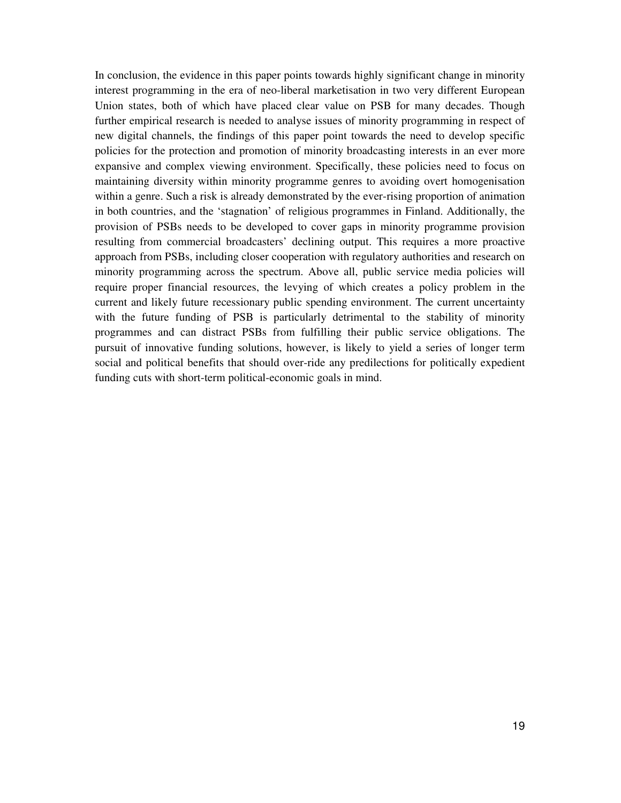In conclusion, the evidence in this paper points towards highly significant change in minority interest programming in the era of neo-liberal marketisation in two very different European Union states, both of which have placed clear value on PSB for many decades. Though further empirical research is needed to analyse issues of minority programming in respect of new digital channels, the findings of this paper point towards the need to develop specific policies for the protection and promotion of minority broadcasting interests in an ever more expansive and complex viewing environment. Specifically, these policies need to focus on maintaining diversity within minority programme genres to avoiding overt homogenisation within a genre. Such a risk is already demonstrated by the ever-rising proportion of animation in both countries, and the 'stagnation' of religious programmes in Finland. Additionally, the provision of PSBs needs to be developed to cover gaps in minority programme provision resulting from commercial broadcasters' declining output. This requires a more proactive approach from PSBs, including closer cooperation with regulatory authorities and research on minority programming across the spectrum. Above all, public service media policies will require proper financial resources, the levying of which creates a policy problem in the current and likely future recessionary public spending environment. The current uncertainty with the future funding of PSB is particularly detrimental to the stability of minority programmes and can distract PSBs from fulfilling their public service obligations. The pursuit of innovative funding solutions, however, is likely to yield a series of longer term social and political benefits that should over-ride any predilections for politically expedient funding cuts with short-term political-economic goals in mind.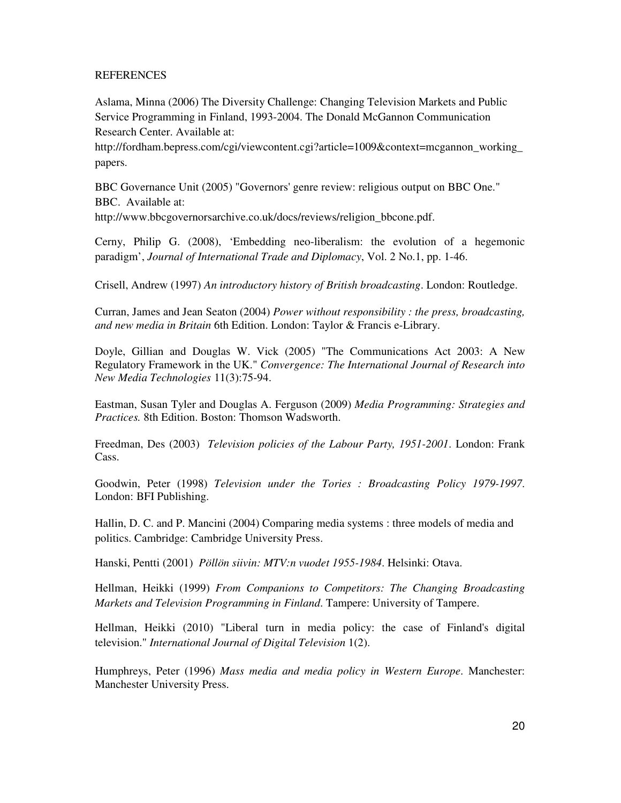## REFERENCES

Aslama, Minna (2006) The Diversity Challenge: Changing Television Markets and Public Service Programming in Finland, 1993-2004. The Donald McGannon Communication Research Center. Available at:

http://fordham.bepress.com/cgi/viewcontent.cgi?article=1009&context=mcgannon\_working\_ papers.

BBC Governance Unit (2005) "Governors' genre review: religious output on BBC One." BBC. Available at:

http://www.bbcgovernorsarchive.co.uk/docs/reviews/religion\_bbcone.pdf.

Cerny, Philip G. (2008), 'Embedding neo-liberalism: the evolution of a hegemonic paradigm', *Journal of International Trade and Diplomacy*, Vol. 2 No.1, pp. 1-46.

Crisell, Andrew (1997) *An introductory history of British broadcasting*. London: Routledge.

Curran, James and Jean Seaton (2004) *Power without responsibility : the press, broadcasting, and new media in Britain* 6th Edition. London: Taylor & Francis e-Library.

Doyle, Gillian and Douglas W. Vick (2005) "The Communications Act 2003: A New Regulatory Framework in the UK." *Convergence: The International Journal of Research into New Media Technologies* 11(3):75-94.

Eastman, Susan Tyler and Douglas A. Ferguson (2009) *Media Programming: Strategies and Practices.* 8th Edition. Boston: Thomson Wadsworth.

Freedman, Des (2003) *Television policies of the Labour Party, 1951-2001*. London: Frank Cass.

Goodwin, Peter (1998) *Television under the Tories : Broadcasting Policy 1979-1997*. London: BFI Publishing.

Hallin, D. C. and P. Mancini (2004) Comparing media systems : three models of media and politics. Cambridge: Cambridge University Press.

Hanski, Pentti (2001) *Pöllön siivin: MTV:n vuodet 1955-1984*. Helsinki: Otava.

Hellman, Heikki (1999) *From Companions to Competitors: The Changing Broadcasting Markets and Television Programming in Finland*. Tampere: University of Tampere.

Hellman, Heikki (2010) "Liberal turn in media policy: the case of Finland's digital television." *International Journal of Digital Television* 1(2).

Humphreys, Peter (1996) *Mass media and media policy in Western Europe*. Manchester: Manchester University Press.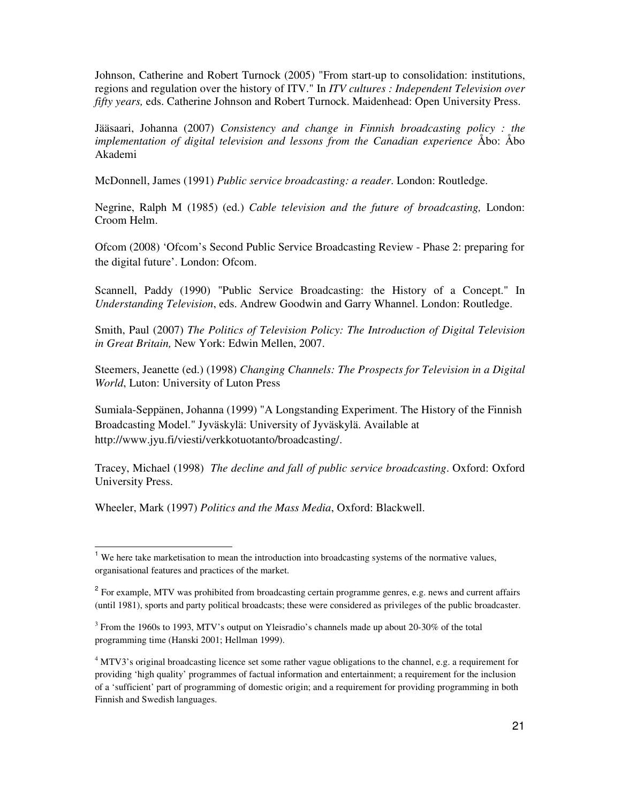Johnson, Catherine and Robert Turnock (2005) "From start-up to consolidation: institutions, regions and regulation over the history of ITV." In *ITV cultures : Independent Television over fifty years,* eds. Catherine Johnson and Robert Turnock. Maidenhead: Open University Press.

Jääsaari, Johanna (2007) *Consistency and change in Finnish broadcasting policy : the implementation of digital television and lessons from the Canadian experience* Åbo: Åbo Akademi

McDonnell, James (1991) *Public service broadcasting: a reader*. London: Routledge.

Negrine, Ralph M (1985) (ed.) *Cable television and the future of broadcasting,* London: Croom Helm.

Ofcom (2008) 'Ofcom's Second Public Service Broadcasting Review - Phase 2: preparing for the digital future'. London: Ofcom.

Scannell, Paddy (1990) "Public Service Broadcasting: the History of a Concept." In *Understanding Television*, eds. Andrew Goodwin and Garry Whannel. London: Routledge.

Smith, Paul (2007) *The Politics of Television Policy: The Introduction of Digital Television in Great Britain,* New York: Edwin Mellen, 2007.

Steemers, Jeanette (ed.) (1998) *Changing Channels: The Prospects for Television in a Digital World*, Luton: University of Luton Press

Sumiala-Seppänen, Johanna (1999) "A Longstanding Experiment. The History of the Finnish Broadcasting Model." Jyväskylä: University of Jyväskylä. Available at http://www.jyu.fi/viesti/verkkotuotanto/broadcasting/.

Tracey, Michael (1998) *The decline and fall of public service broadcasting*. Oxford: Oxford University Press.

Wheeler, Mark (1997) *Politics and the Mass Media*, Oxford: Blackwell.

 $\overline{a}$ 

 $<sup>1</sup>$  We here take marketisation to mean the introduction into broadcasting systems of the normative values,</sup> organisational features and practices of the market.

<sup>&</sup>lt;sup>2</sup> For example, MTV was prohibited from broadcasting certain programme genres, e.g. news and current affairs (until 1981), sports and party political broadcasts; these were considered as privileges of the public broadcaster.

 $3$  From the 1960s to 1993, MTV's output on Yleisradio's channels made up about 20-30% of the total programming time (Hanski 2001; Hellman 1999).

<sup>&</sup>lt;sup>4</sup> MTV3's original broadcasting licence set some rather vague obligations to the channel, e.g. a requirement for providing 'high quality' programmes of factual information and entertainment; a requirement for the inclusion of a 'sufficient' part of programming of domestic origin; and a requirement for providing programming in both Finnish and Swedish languages.